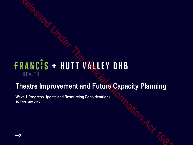# RANCIS + HUTT VALLEY DHB<br>
HEALTH<br>
HEALTH<br>
Heatre Improvement and Future Capacity Planning<br>
we 1 Progress Update and Resourcing Considerations<br>
Prebruary 2017<br>
Performary 2017

### **Theatre Improvement and Future Capacity Planning**

**Wave 1 Progress Update and Resourcing Considerations 15 February 2017**

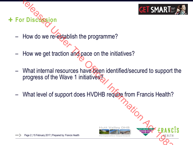

How do we re-establish the programme?

**+ For Discussion** 

- How we get traction and pace on the initiatives?
- What internal resources have been identified/secured to support the progress of the Wave 1 initiatives? Release of the Wave 1 initiatives?<br>
What internal resources have been identified/secured to support<br>
Progress of the Wave 1 initiatives?<br>
What level of support does HVDHB require from Francis Health?<br>
What level of support
- What level of support does HVDHB require from Francis Health?



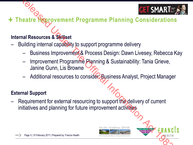

### **+ Theatre Improvement Programme Planning Considerations**

### **Internal Resources & Skillset**

- Building internal capability to support programme delivery
	- Business Improvement & Process Design: Dawn Livesey, Rebecca Kay
	- Improvement Programme Planning & Sustainability: Tania Grieve, Janine Gunn, Lis Browne
	- Additional resources to consider: Business Analyst, Project Manager

### **External Support**

Requirement for external resourcing to support the delivery of current initiatives and planning for future improvement activities Relative Manuformation Programme Planning Consideration<br>
Relative Manuformatic Religions Associates & Skillset<br>
Building internal capability to support programme delivery<br>
- Business Improvement Act Process Design: Dawn Li





Page 3 | 15 February 2017 | Prepared by: Francis Health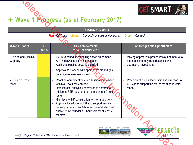

### **Wave 1 Progress (as at February 2017)**

|                                                                                                 |                             | + Wave 1 Plogress (as at February 2017)<br><b>STATUS SUMMARY</b>                                                                                                                                                                                                                                                                                                                                                                 |                                                                                                                                                 |  |
|-------------------------------------------------------------------------------------------------|-----------------------------|----------------------------------------------------------------------------------------------------------------------------------------------------------------------------------------------------------------------------------------------------------------------------------------------------------------------------------------------------------------------------------------------------------------------------------|-------------------------------------------------------------------------------------------------------------------------------------------------|--|
| <b>Red = Off Track</b><br><b>Amber</b> = Generally on track, minor issues<br>Green = $On$ track |                             |                                                                                                                                                                                                                                                                                                                                                                                                                                  |                                                                                                                                                 |  |
| <b>Wave 1 Priority</b>                                                                          | <b>RAG</b><br><b>Status</b> | <b>Key Achievements</b><br>to 14 December 2016                                                                                                                                                                                                                                                                                                                                                                                   | <b>Challenges and Opportunities</b>                                                                                                             |  |
| 1. Acute and Elective<br>Capacity                                                               |                             | FY17/18 schedule modelling based on demand<br>APR airflow assessment completed<br>Additional plastics acute lists trialled<br>Approval to proceed with appropriate air and gas<br>detection requirements in APR                                                                                                                                                                                                                  | Moving appropriate procedures out of theatre to<br>$\overline{\phantom{a}}$<br>other location may require capital and<br>operational investment |  |
| 2. Flexible Roster<br>Model                                                                     |                             | Reached agreement on even session times to trial<br>within a 9 hour roster model<br>Detailed cost analysis undertaken to determine<br>additional FTE requirements to implement 9 hour<br>roster<br>High level of HR consultation to inform decisions<br>Approval for additional FTEs to support service<br>delivery under current 8 hour model and which will<br>enable delivery under a 9 hour shift for at least 2<br>theatres | Provision of clinical leadership and direction to<br>OT staff to support the trial of the 9 hour roster<br>model                                |  |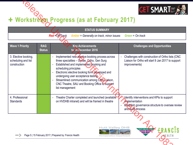

## **Workstream Progress (as at February 2017)**

|                                                             |                             | + Workstream Progress (as at February 2017)<br><b>STATUS SUMMARY</b>                                                                                                                                                                                                                                                                                                            | <b>GET SMARTE</b>                                                                                                                            |
|-------------------------------------------------------------|-----------------------------|---------------------------------------------------------------------------------------------------------------------------------------------------------------------------------------------------------------------------------------------------------------------------------------------------------------------------------------------------------------------------------|----------------------------------------------------------------------------------------------------------------------------------------------|
|                                                             |                             | <b>Red = Off Track</b><br><b>Amber</b> = Generally on track, minor issues                                                                                                                                                                                                                                                                                                       | $Green = On track$                                                                                                                           |
| <b>Wave 1 Priority</b>                                      | <b>RAG</b><br><b>Status</b> | <b>Key Achievements</b><br>to 14 December 2016                                                                                                                                                                                                                                                                                                                                  | <b>Challenges and Opportunities</b>                                                                                                          |
| 3. Elective booking,<br>scheduling and list<br>construction |                             | Implemented new elective booking process across<br>three specialties - Gynae, Ortho, Gen Surg<br>Established and implemented booking and<br>scheduling principles<br>Electronic elective booking form developed and<br>undergoing user acceptance testing.<br>Streamlined communication among CNC Liaison,<br>CNC Theatre, SAU and Booking Office to support<br>list management | Challenges with construction of Ortho lists (CNC<br>Liaison for Ortho will start 9 Jan 2017 to support<br>improvements)                      |
| 4. Professional<br><b>Standards</b>                         |                             | Theatre Charter completed and launched (available<br>on HVDHB intranet) and will be framed in theatre                                                                                                                                                                                                                                                                           | Identify interventions and KPIs to support<br>implementation<br><b>Establish governance structure to oversee review</b><br>and audit process |
|                                                             |                             | <b>Hutt Valley DHB</b><br>Page 5   15 February 2017   Prepared by: Francis Health<br>Perioperative Department                                                                                                                                                                                                                                                                   | HUTT VALLEY OHB<br><b>KEALTH</b>                                                                                                             |



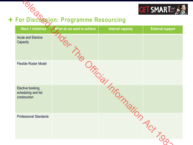

### **For Discussion: Programme Resourcing**

| IRISO                                                    | For Discussion: Programme Resourcing |                          | <b>GET SMARTES</b>      |
|----------------------------------------------------------|--------------------------------------|--------------------------|-------------------------|
| <b>Wave 1 Initiatives</b>                                | What do we want to achieve           | <b>Internal capacity</b> | <b>External support</b> |
| <b>Acute and Elective</b><br>Capacity                    | <b>St The</b>                        |                          |                         |
| <b>Flexible Roster Model</b>                             |                                      |                          |                         |
| Elective booking,<br>scheduling and list<br>construction |                                      | Orficial Information Art |                         |
| <b>Professional Standards</b>                            |                                      |                          | $\frac{1}{2}$           |
|                                                          |                                      |                          |                         |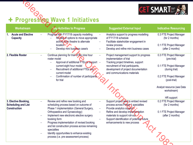

# **Progressing Wave 1 Initiatives**

| <b>GET SMARTE</b><br>+ Progressing Wave 1 Initiatives                     |                                                                                                                                       |                                                                                                                                      |                                                                      |
|---------------------------------------------------------------------------|---------------------------------------------------------------------------------------------------------------------------------------|--------------------------------------------------------------------------------------------------------------------------------------|----------------------------------------------------------------------|
| Workstream                                                                | <b>Key Activities to Progress</b>                                                                                                     | <b>Suggested External Input</b>                                                                                                      | <b>Indicative Resourcing</b>                                         |
| <b>Acute and Elective</b><br><b>Capacity</b>                              | Progress with FY17/18 capacity modelling<br>Review of options to move appropriate<br>activity from theatre to alternate<br>location - | Analytics support to progress modelling<br>of FY17/18 schedule<br>Facilitate stakeholder engagement in<br>review process             | 0.3 FTE Project Manager<br>(for 2 months)<br>0.1 FTE Project Manager |
|                                                                           | Develop mini business case/s                                                                                                          | Develop and refine mini business cases                                                                                               | (after 2 months)                                                     |
| 2. Flexible Roster                                                        | Continue planning for trial of the nine hour<br>roster model<br>Approval of additional FTEs to support -<br>$\overline{\phantom{0}}$  | Project management support to progress<br>implementation of trial<br>Tracking project timelines, support                             | 0.3 FTE Project Manager<br>(pre-trial)                               |
|                                                                           | current eight hour model<br>Recruitment of additional FTEs into<br>current model                                                      | recruitment of trial participants,<br>development of project documentation<br>and communications materials                           | 0.1 FTE Project Manager<br>(during trial)                            |
|                                                                           | Confirmation of number of participants<br>for trial                                                                                   |                                                                                                                                      | 0.2 FTE Project Manager<br>(post-trial)                              |
|                                                                           |                                                                                                                                       |                                                                                                                                      | Analyst resource (see Data<br>workstream)                            |
|                                                                           |                                                                                                                                       |                                                                                                                                      | HR support                                                           |
| 3. Elective Booking,<br><b>Scheduling and List</b><br><b>Construction</b> | Review and refine new booking and<br>scheduling process based on outcome of<br>Phase 1 implementation (General Surgery,               | Support project lead to embed revised<br>process across Phase 1 specialties<br>Provide analytics support<br>$\overline{\phantom{m}}$ | 0.2 FTE Project Manager<br>(for 2 months)                            |
|                                                                           | Orthopaedics and Gynaecology)<br>Implement new electronic elective surgery                                                            | Refine and develop implementation<br>materials to support roll-out                                                                   | 0.1 FTE Project Manager<br>(after 2 months)                          |
|                                                                           | booking form<br>Progress implementation of revised booking<br>and list construction process across remaining<br>specialties           | Support identification of potential future<br>enhancements to new process                                                            |                                                                      |
|                                                                           | Identify opportunities to enhance existing<br>process (i.e. pre-assessment process)                                                   |                                                                                                                                      |                                                                      |
|                                                                           |                                                                                                                                       |                                                                                                                                      |                                                                      |